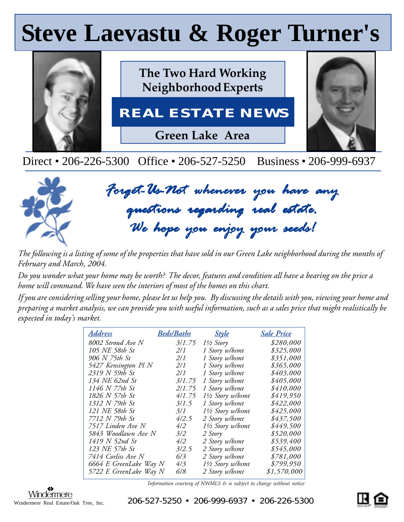# **Steve Laevastu & Roger Turner's Steve Laevastu & Roger Turner's**



Direct • 206-226-5300 Office • 206-527-5250 Business • 206-999-6937



*Forget-Us-Not whenever you have any Forget-Us-Not whenever you questions regarding real estate. regarding real estate.questions regarding We hope you enjoy your seeds! hope your seeds! We hope you your* 

*The following is a listing of some of the properties that have sold in our Green Lake neighborhood during the months of February and March, 2004.*

*Do you wonder what your home may be worth? The decor, features and condition all have a bearing on the price a home will command. We have seen the interiors of most of the homes on this chart.*

*If you are considering selling your home, please let us help you. By discussing the details with you, viewing your home and preparing a market analysis, we can provide you with useful information, such as a sales price that might realistically be expected in today's market.*

| <u>Address</u>         | <b>Beds/Baths</b> | <u>Style</u>         | <u>Sale Price</u> |
|------------------------|-------------------|----------------------|-------------------|
| 8002 Stroud Ave N      | 3/1.75            | $1\frac{1}{2}$ Story | \$280,000         |
| 105 NE 58th St         | 2/1               | 1 Story w/bsmt       | \$325,000         |
| 906 N 75th St          | 2/1               | 1 Story w/bsmt       | \$351,000         |
| 5427 Kensington Pl N   | 2/I               | 1 Story w/bsmt       | \$365,000         |
| 2319 N 59th St         | 2/1               | 1 Story w/bsmt       | \$403,000         |
| 134 NE 62nd St         | 3/1.75            | 1 Story w/bsmt       | \$405,000         |
| 1146 N 77th St         | 2/1.75            | 1 Story w/bsmt       | \$410,000         |
| 1826 N 57th St         | 4/1.75            | 1½ Story w/bsmt      | \$419,950         |
| 1312 N 79th St         | 3/1.5             | 1 Story w/bsmt       | \$422,000         |
| 121 NE 58th St         | 3/1               | 1½ Story w/bsmt      | \$425,000         |
| 7712 N 79th St         | 4/2.5             | 2 Story w/bsmt       | \$437,500         |
| 7517 Linden Ave N      | 4/2               | 1½ Story w/bsmt      | \$449,500         |
| 5843 Woodlawn Ave N    | 3/2               | 2 Story              | \$520,000         |
| 1419 N 52nd St         | 4/2               | 2 Story w/bsmt       | \$539,400         |
| 123 NE 57th St         | 3/2.5             | 2 Story w/bsmt       | \$545,000         |
| 7414 Corliss Ave N     | 6/3               | 2 Story w/bsmt       | \$781,000         |
| 6664 E GreenLake Way N | 4/3               | 1½ Story w/bsmt      | \$799,950         |
| 5722 E GreenLake Way N | 6/8               | 2 Story w/bsmt       | \$1,570,000       |

*Information courtesy of NWMLS & is subject to change without notice*



 $\frac{\text{Window}}{\text{mere} - \text{Real} - \text{Estate/O}}$  . Tree, Inc.  $206 - 527 - 5250$  • 206-999-6937 • 206-226-5300